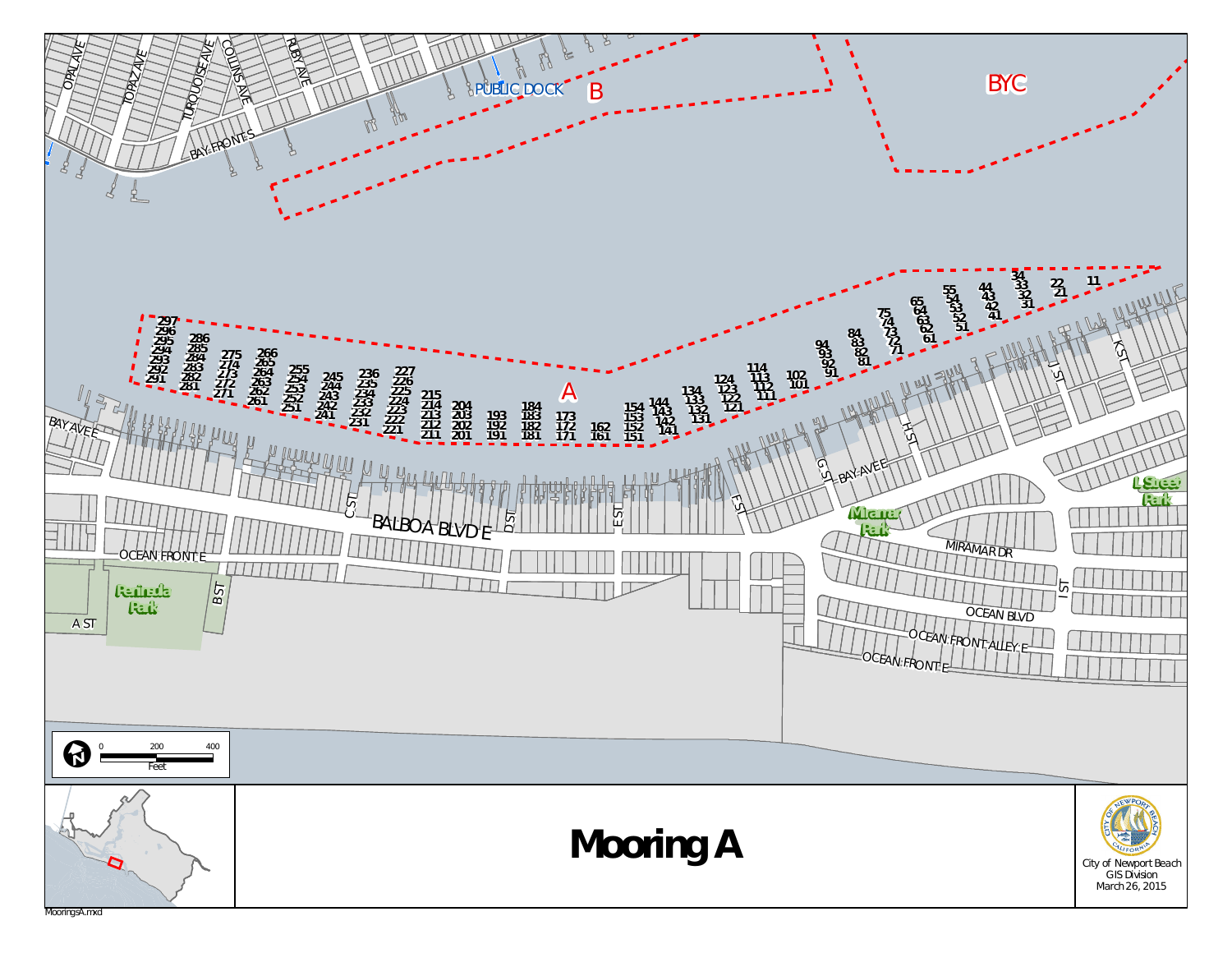